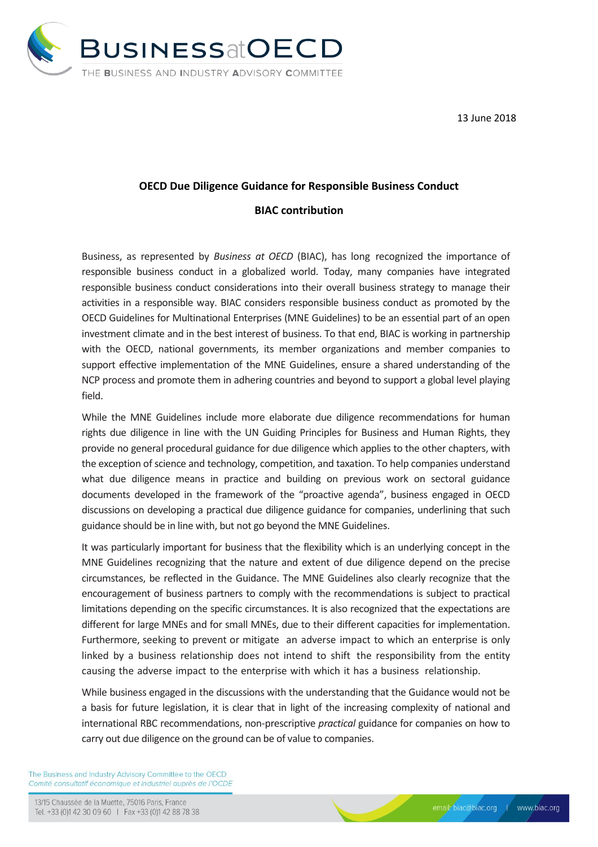

13 June 2018

## **OECD Due Diligence Guidance for Responsible Business Conduct**

## **BIAC contribution**

Business, as represented by *Business at OECD* (BIAC), has long recognized the importance of responsible business conduct in a globalized world. Today, many companies have integrated responsible business conduct considerations into their overall business strategy to manage their activities in a responsible way. BIAC considers responsible business conduct as promoted by the OECD Guidelines for Multinational Enterprises (MNE Guidelines) to be an essential part of an open investment climate and in the best interest of business. To that end, BIAC is working in partnership with the OECD, national governments, its member organizations and member companies to support effective implementation of the MNE Guidelines, ensure a shared understanding of the NCP process and promote them in adhering countries and beyond to support a global level playing field.

While the MNE Guidelines include more elaborate due diligence recommendations for human rights due diligence in line with the UN Guiding Principles for Business and Human Rights, they provide no general procedural guidance for due diligence which applies to the other chapters, with the exception of science and technology, competition, and taxation. To help companies understand what due diligence means in practice and building on previous work on sectoral guidance documents developed in the framework of the "proactive agenda", business engaged in OECD discussions on developing a practical due diligence guidance for companies, underlining that such guidance should be in line with, but not go beyond the MNE Guidelines.

It was particularly important for business that the flexibility which is an underlying concept in the MNE Guidelines recognizing that the nature and extent of due diligence depend on the precise circumstances, be reflected in the Guidance. The MNE Guidelines also clearly recognize that the encouragement of business partners to comply with the recommendations is subject to practical limitations depending on the specific circumstances. It is also recognized that the expectations are different for large MNEs and for small MNEs, due to their different capacities for implementation. Furthermore, seeking to prevent or mitigate an adverse impact to which an enterprise is only linked by a business relationship does not intend to shift the responsibility from the entity causing the adverse impact to the enterprise with which it has a business relationship.

While business engaged in the discussions with the understanding that the Guidance would not be a basis for future legislation, it is clear that in light of the increasing complexity of national and international RBC recommendations, non-prescriptive *practical* guidance for companies on how to carry out due diligence on the ground can be of value to companies.

The Business and Industry Advisory Committee to the OECD Comité consultatif économique et industriel auprès de l'OCDE